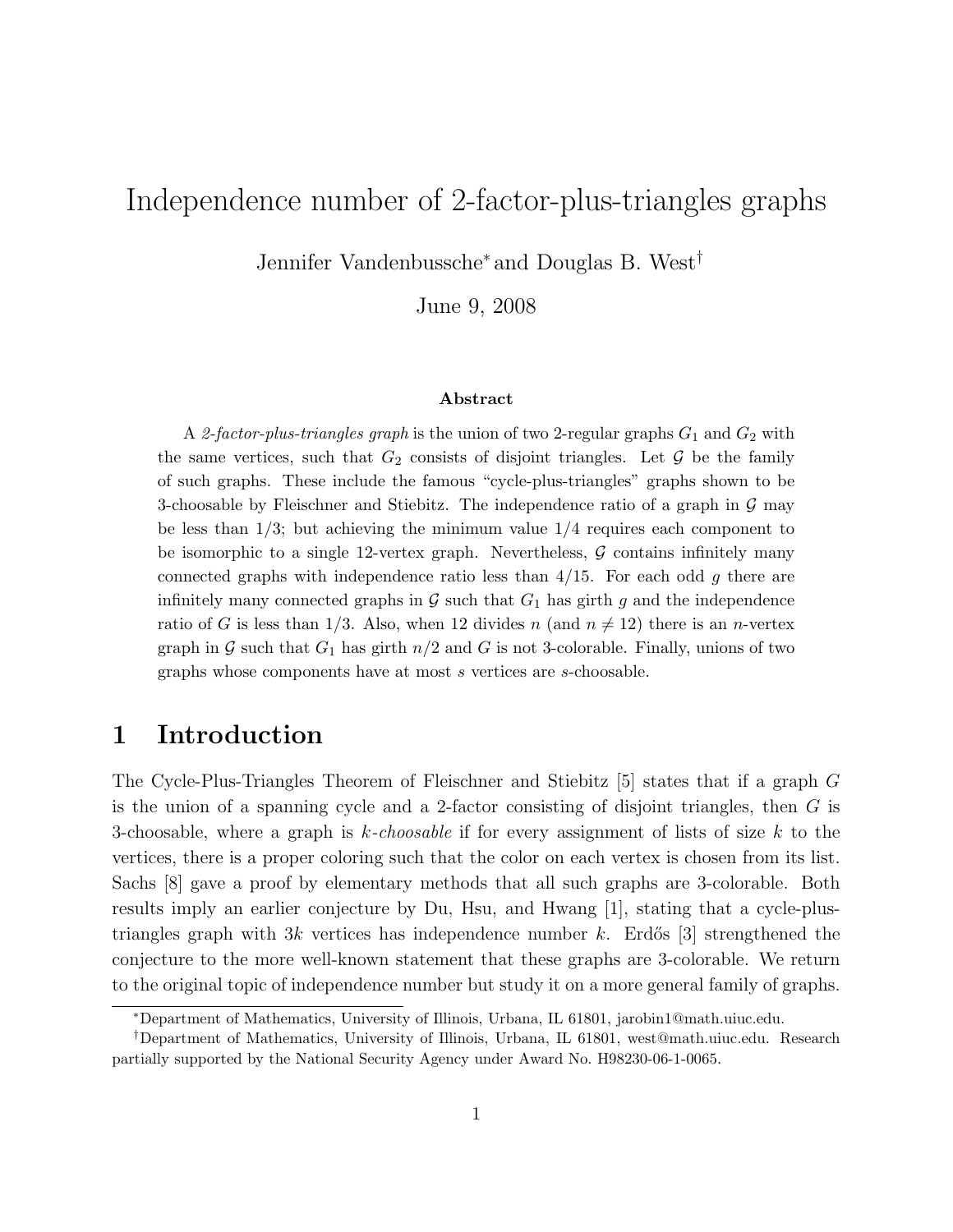# Independence number of 2-factor-plus-triangles graphs

Jennifer Vandenbussche<sup>∗</sup> and Douglas B. West†

June 9, 2008

#### Abstract

A 2-factor-plus-triangles graph is the union of two 2-regular graphs  $G_1$  and  $G_2$  with the same vertices, such that  $G_2$  consists of disjoint triangles. Let  $\mathcal G$  be the family of such graphs. These include the famous "cycle-plus-triangles" graphs shown to be 3-choosable by Fleischner and Stiebitz. The independence ratio of a graph in  $\mathcal G$  may be less than  $1/3$ ; but achieving the minimum value  $1/4$  requires each component to be isomorphic to a single 12-vertex graph. Nevertheless,  $\mathcal G$  contains infinitely many connected graphs with independence ratio less than  $4/15$ . For each odd g there are infinitely many connected graphs in  $G$  such that  $G_1$  has girth g and the independence ratio of G is less than 1/3. Also, when 12 divides n (and  $n \neq 12$ ) there is an n-vertex graph in G such that  $G_1$  has girth  $n/2$  and G is not 3-colorable. Finally, unions of two graphs whose components have at most s vertices are s-choosable.

### 1 Introduction

The Cycle-Plus-Triangles Theorem of Fleischner and Stiebitz [5] states that if a graph G is the union of a spanning cycle and a 2-factor consisting of disjoint triangles, then G is 3-choosable, where a graph is k-choosable if for every assignment of lists of size k to the vertices, there is a proper coloring such that the color on each vertex is chosen from its list. Sachs [8] gave a proof by elementary methods that all such graphs are 3-colorable. Both results imply an earlier conjecture by Du, Hsu, and Hwang [1], stating that a cycle-plustriangles graph with 3k vertices has independence number k. Erdős [3] strengthened the conjecture to the more well-known statement that these graphs are 3-colorable. We return to the original topic of independence number but study it on a more general family of graphs.

<sup>∗</sup>Department of Mathematics, University of Illinois, Urbana, IL 61801, jarobin1@math.uiuc.edu.

<sup>†</sup>Department of Mathematics, University of Illinois, Urbana, IL 61801, west@math.uiuc.edu. Research partially supported by the National Security Agency under Award No. H98230-06-1-0065.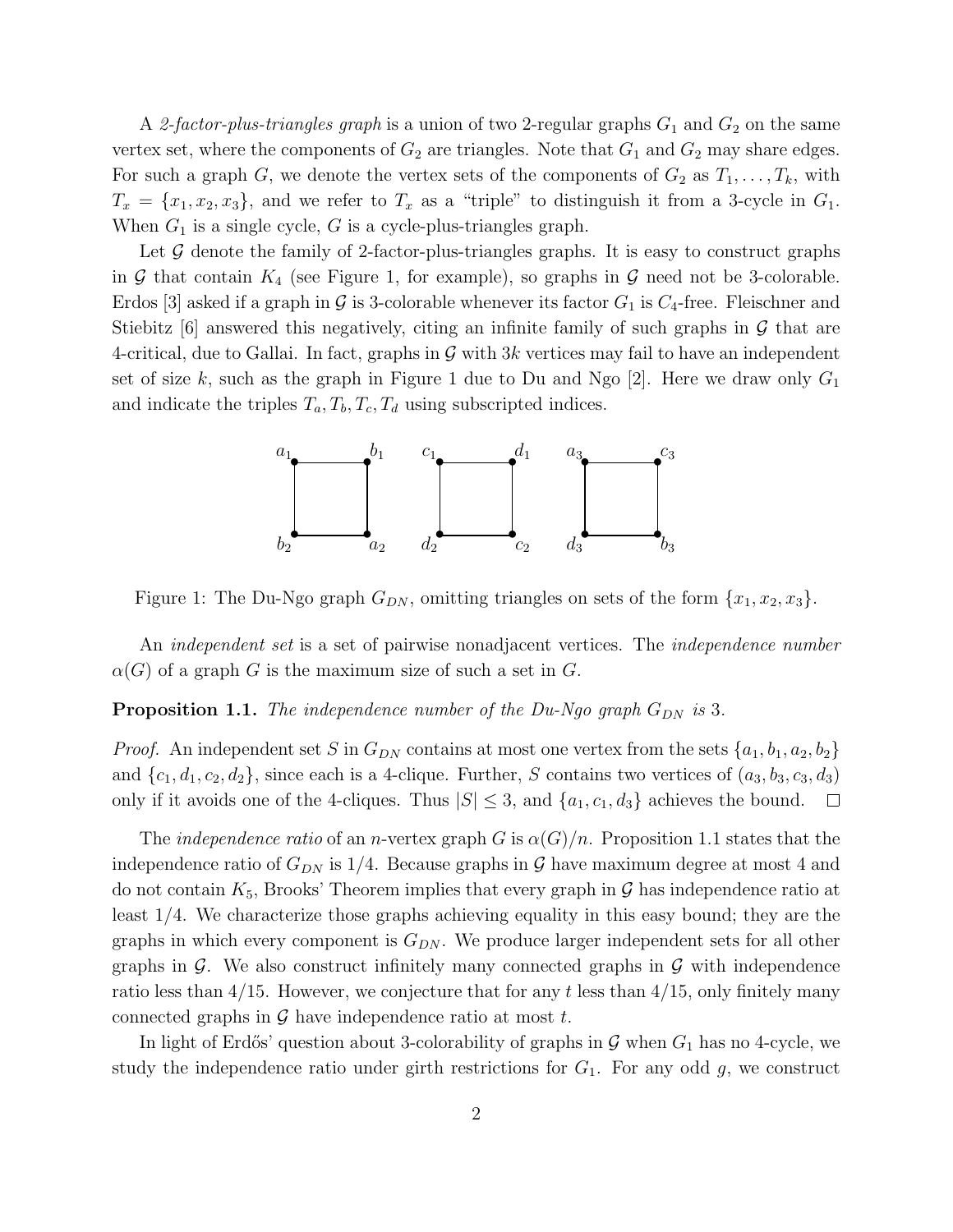A 2-factor-plus-triangles graph is a union of two 2-regular graphs  $G_1$  and  $G_2$  on the same vertex set, where the components of  $G_2$  are triangles. Note that  $G_1$  and  $G_2$  may share edges. For such a graph G, we denote the vertex sets of the components of  $G_2$  as  $T_1, \ldots, T_k$ , with  $T_x = \{x_1, x_2, x_3\}$ , and we refer to  $T_x$  as a "triple" to distinguish it from a 3-cycle in  $G_1$ . When  $G_1$  is a single cycle, G is a cycle-plus-triangles graph.

Let  $\mathcal G$  denote the family of 2-factor-plus-triangles graphs. It is easy to construct graphs in G that contain  $K_4$  (see Figure 1, for example), so graphs in G need not be 3-colorable. Erdos [3] asked if a graph in G is 3-colorable whenever its factor  $G_1$  is  $C_4$ -free. Fleischner and Stiebitz  $|6|$  answered this negatively, citing an infinite family of such graphs in G that are 4-critical, due to Gallai. In fact, graphs in  $\mathcal G$  with 3k vertices may fail to have an independent set of size k, such as the graph in Figure 1 due to Du and Ngo [2]. Here we draw only  $G_1$ and indicate the triples  $T_a, T_b, T_c, T_d$  using subscripted indices.



Figure 1: The Du-Ngo graph  $G_{DN}$ , omitting triangles on sets of the form  $\{x_1, x_2, x_3\}$ .

An *independent set* is a set of pairwise nonadjacent vertices. The *independence number*  $\alpha(G)$  of a graph G is the maximum size of such a set in G.

#### **Proposition 1.1.** The independence number of the Du-Ngo graph  $G_{DN}$  is 3.

*Proof.* An independent set S in  $G_{DN}$  contains at most one vertex from the sets  $\{a_1, b_1, a_2, b_2\}$ and  $\{c_1, d_1, c_2, d_2\}$ , since each is a 4-clique. Further, S contains two vertices of  $(a_3, b_3, c_3, d_3)$ only if it avoids one of the 4-cliques. Thus  $|S| \leq 3$ , and  $\{a_1, c_1, d_3\}$  achieves the bound.  $\Box$ 

The *independence ratio* of an *n*-vertex graph G is  $\alpha(G)/n$ . Proposition 1.1 states that the independence ratio of  $G_{DN}$  is 1/4. Because graphs in  $\mathcal G$  have maximum degree at most 4 and do not contain  $K_5$ , Brooks' Theorem implies that every graph in  $\mathcal G$  has independence ratio at least 1/4. We characterize those graphs achieving equality in this easy bound; they are the graphs in which every component is  $G_{DN}$ . We produce larger independent sets for all other graphs in  $\mathcal G$ . We also construct infinitely many connected graphs in  $\mathcal G$  with independence ratio less than  $4/15$ . However, we conjecture that for any t less than  $4/15$ , only finitely many connected graphs in  $G$  have independence ratio at most  $t$ .

In light of Erdős' question about 3-colorability of graphs in  $G$  when  $G_1$  has no 4-cycle, we study the independence ratio under girth restrictions for  $G_1$ . For any odd g, we construct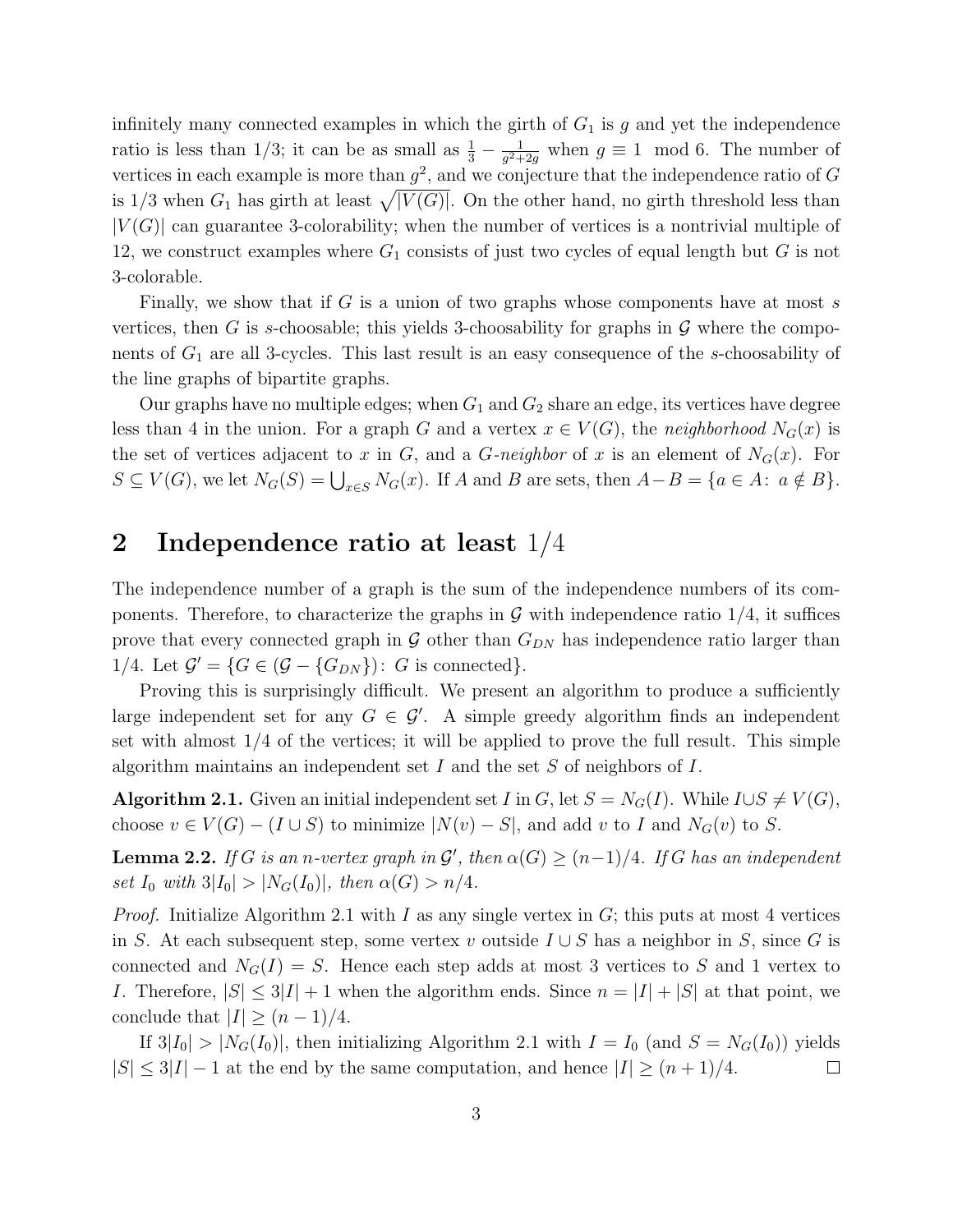infinitely many connected examples in which the girth of  $G_1$  is g and yet the independence ratio is less than 1/3; it can be as small as  $\frac{1}{3} - \frac{1}{g^2 + 1}$  $\frac{1}{g^2+2g}$  when  $g \equiv 1 \mod 6$ . The number of vertices in each example is more than  $g^2$ , and we conjecture that the independence ratio of G is  $1/3$  when  $G_1$  has girth at least  $\sqrt{|V(G)|}$ . On the other hand, no girth threshold less than  $|V(G)|$  can guarantee 3-colorability; when the number of vertices is a nontrivial multiple of 12, we construct examples where  $G_1$  consists of just two cycles of equal length but  $G$  is not 3-colorable.

Finally, we show that if G is a union of two graphs whose components have at most s vertices, then G is s-choosable; this yields 3-choosability for graphs in  $\mathcal G$  where the components of  $G_1$  are all 3-cycles. This last result is an easy consequence of the s-choosability of the line graphs of bipartite graphs.

Our graphs have no multiple edges; when  $G_1$  and  $G_2$  share an edge, its vertices have degree less than 4 in the union. For a graph G and a vertex  $x \in V(G)$ , the neighborhood  $N_G(x)$  is the set of vertices adjacent to x in G, and a G-neighbor of x is an element of  $N_G(x)$ . For  $S \subseteq V(G)$ , we let  $N_G(S) = \bigcup_{x \in S} N_G(x)$ . If A and B are sets, then  $A - B = \{a \in A : a \notin B\}$ .

# 2 Independence ratio at least 1/4

The independence number of a graph is the sum of the independence numbers of its components. Therefore, to characterize the graphs in  $\mathcal G$  with independence ratio 1/4, it suffices prove that every connected graph in  $G$  other than  $G_{DN}$  has independence ratio larger than 1/4. Let  $\mathcal{G}' = \{ G \in (\mathcal{G} - \{G_{DN}\}) : G \text{ is connected} \}.$ 

Proving this is surprisingly difficult. We present an algorithm to produce a sufficiently large independent set for any  $G \in \mathcal{G}'$ . A simple greedy algorithm finds an independent set with almost  $1/4$  of the vertices; it will be applied to prove the full result. This simple algorithm maintains an independent set I and the set S of neighbors of I.

Algorithm 2.1. Given an initial independent set I in G, let  $S = N_G(I)$ . While  $I \cup S \neq V(G)$ , choose  $v \in V(G) - (I \cup S)$  to minimize  $|N(v) - S|$ , and add v to I and  $N_G(v)$  to S.

**Lemma 2.2.** If G is an n-vertex graph in  $\mathcal{G}'$ , then  $\alpha(G) \geq (n-1)/4$ . If G has an independent set  $I_0$  with  $3|I_0| > |N_G(I_0)|$ , then  $\alpha(G) > n/4$ .

*Proof.* Initialize Algorithm 2.1 with I as any single vertex in  $G$ ; this puts at most 4 vertices in S. At each subsequent step, some vertex v outside  $I \cup S$  has a neighbor in S, since G is connected and  $N_G(I) = S$ . Hence each step adds at most 3 vertices to S and 1 vertex to I. Therefore,  $|S| \leq 3|I| + 1$  when the algorithm ends. Since  $n = |I| + |S|$  at that point, we conclude that  $|I| \geq (n-1)/4$ .

If  $3|I_0| > |N_G(I_0)|$ , then initializing Algorithm 2.1 with  $I = I_0$  (and  $S = N_G(I_0)$ ) yields  $|S| \leq 3|I|-1$  at the end by the same computation, and hence  $|I| \geq (n+1)/4$ .  $\Box$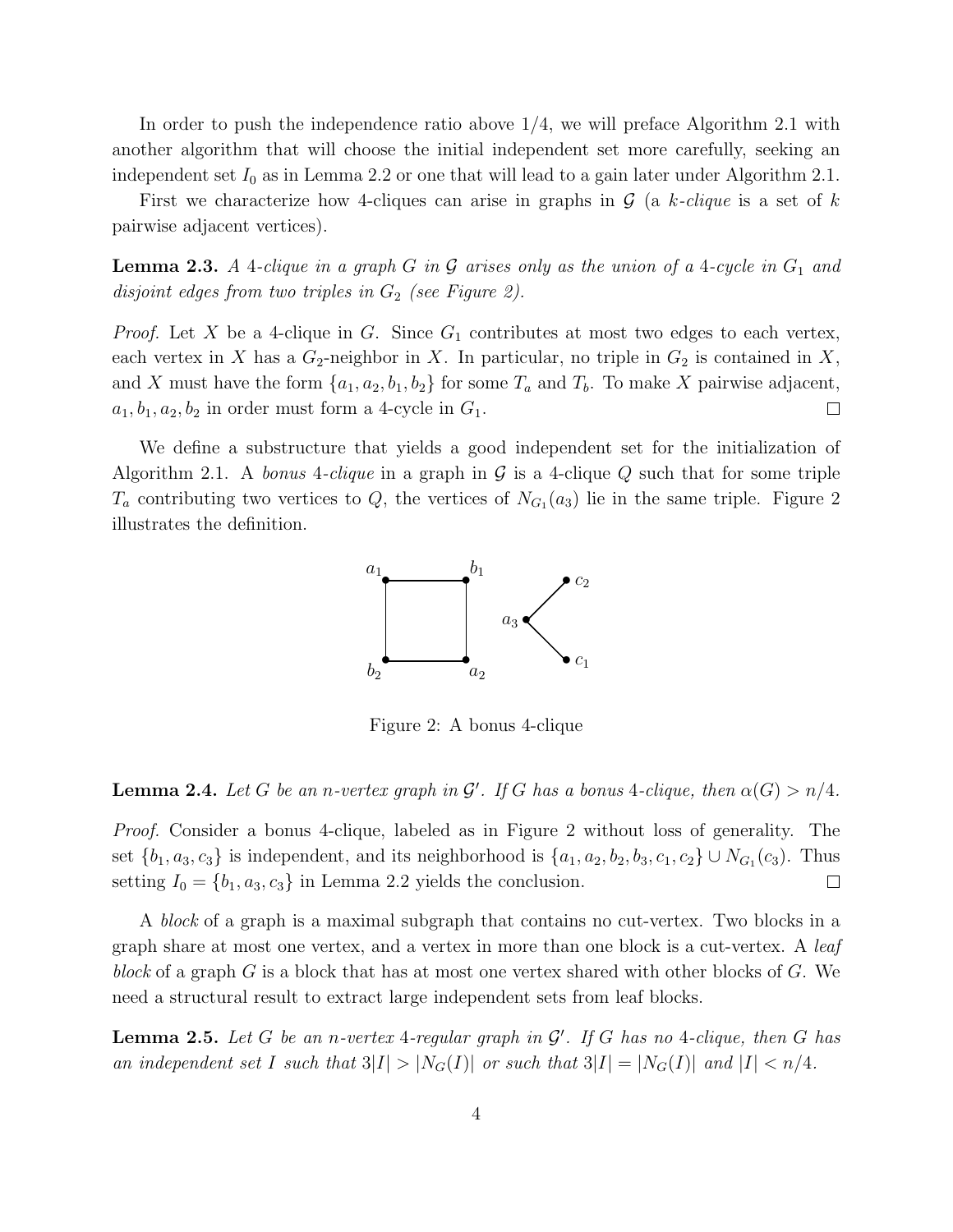In order to push the independence ratio above 1/4, we will preface Algorithm 2.1 with another algorithm that will choose the initial independent set more carefully, seeking an independent set  $I_0$  as in Lemma 2.2 or one that will lead to a gain later under Algorithm 2.1.

First we characterize how 4-cliques can arise in graphs in  $\mathcal G$  (a k-clique is a set of k pairwise adjacent vertices).

**Lemma 2.3.** A 4-clique in a graph G in G arises only as the union of a 4-cycle in  $G_1$  and disjoint edges from two triples in  $G_2$  (see Figure 2).

*Proof.* Let X be a 4-clique in G. Since  $G_1$  contributes at most two edges to each vertex, each vertex in X has a  $G_2$ -neighbor in X. In particular, no triple in  $G_2$  is contained in X, and X must have the form  $\{a_1, a_2, b_1, b_2\}$  for some  $T_a$  and  $T_b$ . To make X pairwise adjacent,  $a_1, b_1, a_2, b_2$  in order must form a 4-cycle in  ${\cal G}_1.$  $\Box$ 

We define a substructure that yields a good independent set for the initialization of Algorithm 2.1. A bonus 4-clique in a graph in  $\mathcal G$  is a 4-clique Q such that for some triple  $T_a$  contributing two vertices to Q, the vertices of  $N_{G_1}(a_3)$  lie in the same triple. Figure 2 illustrates the definition.



Figure 2: A bonus 4-clique

**Lemma 2.4.** Let G be an n-vertex graph in  $\mathcal{G}'$ . If G has a bonus 4-clique, then  $\alpha(G) > n/4$ .

Proof. Consider a bonus 4-clique, labeled as in Figure 2 without loss of generality. The set  $\{b_1, a_3, c_3\}$  is independent, and its neighborhood is  $\{a_1, a_2, b_2, b_3, c_1, c_2\} \cup N_{G_1}(c_3)$ . Thus setting  $I_0 = \{b_1, a_3, c_3\}$  in Lemma 2.2 yields the conclusion.  $\Box$ 

A block of a graph is a maximal subgraph that contains no cut-vertex. Two blocks in a graph share at most one vertex, and a vertex in more than one block is a cut-vertex. A leaf block of a graph G is a block that has at most one vertex shared with other blocks of G. We need a structural result to extract large independent sets from leaf blocks.

**Lemma 2.5.** Let G be an n-vertex 4-regular graph in  $\mathcal{G}'$ . If G has no 4-clique, then G has an independent set I such that  $3|I| > |N_G(I)|$  or such that  $3|I| = |N_G(I)|$  and  $|I| < n/4$ .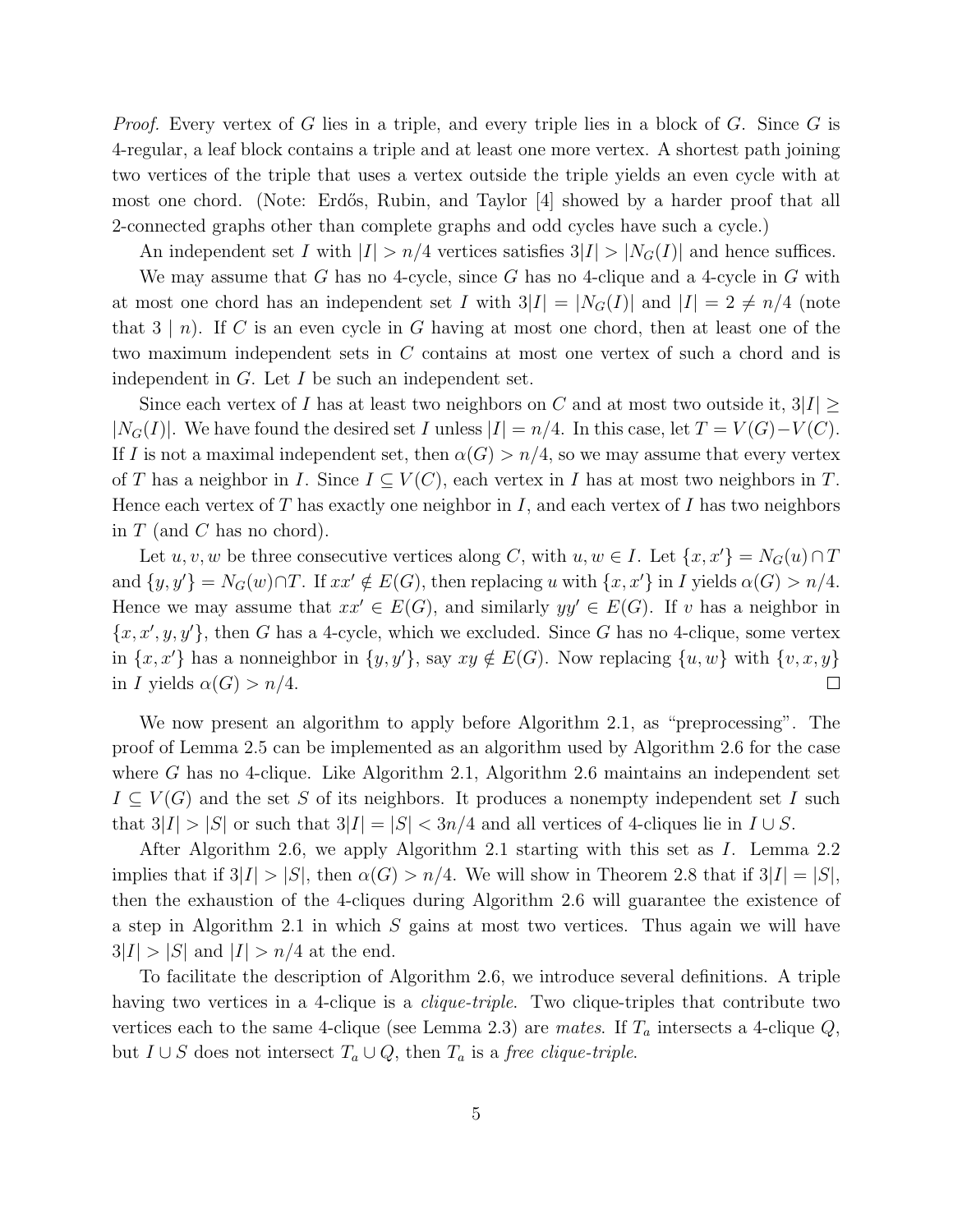*Proof.* Every vertex of G lies in a triple, and every triple lies in a block of G. Since G is 4-regular, a leaf block contains a triple and at least one more vertex. A shortest path joining two vertices of the triple that uses a vertex outside the triple yields an even cycle with at most one chord. (Note: Erdős, Rubin, and Taylor |4| showed by a harder proof that all 2-connected graphs other than complete graphs and odd cycles have such a cycle.)

An independent set I with  $|I| > n/4$  vertices satisfies  $3|I| > |N<sub>G</sub>(I)|$  and hence suffices.

We may assume that G has no 4-cycle, since G has no 4-clique and a 4-cycle in G with at most one chord has an independent set I with  $3|I| = |N_G(I)|$  and  $|I| = 2 \neq n/4$  (note that  $3 \mid n$ . If C is an even cycle in G having at most one chord, then at least one of the two maximum independent sets in C contains at most one vertex of such a chord and is independent in  $G$ . Let  $I$  be such an independent set.

Since each vertex of I has at least two neighbors on C and at most two outside it,  $3|I|$  >  $|N_G(I)|$ . We have found the desired set I unless  $|I| = n/4$ . In this case, let  $T = V(G) - V(C)$ . If I is not a maximal independent set, then  $\alpha(G) > n/4$ , so we may assume that every vertex of T has a neighbor in I. Since  $I \subseteq V(C)$ , each vertex in I has at most two neighbors in T. Hence each vertex of  $T$  has exactly one neighbor in  $I$ , and each vertex of  $I$  has two neighbors in  $T$  (and  $C$  has no chord).

Let u, v, w be three consecutive vertices along C, with  $u, w \in I$ . Let  $\{x, x'\} = N_G(u) \cap T$ and  $\{y, y'\} = N_G(w) \cap T$ . If  $xx' \notin E(G)$ , then replacing u with  $\{x, x'\}$  in I yields  $\alpha(G) > n/4$ . Hence we may assume that  $xx' \in E(G)$ , and similarly  $yy' \in E(G)$ . If v has a neighbor in  ${x, x', y, y'}$ , then G has a 4-cycle, which we excluded. Since G has no 4-clique, some vertex in  $\{x, x'\}$  has a nonneighbor in  $\{y, y'\}$ , say  $xy \notin E(G)$ . Now replacing  $\{u, w\}$  with  $\{v, x, y\}$ in I yields  $\alpha(G) > n/4$ .  $\Box$ 

We now present an algorithm to apply before Algorithm 2.1, as "preprocessing". The proof of Lemma 2.5 can be implemented as an algorithm used by Algorithm 2.6 for the case where G has no 4-clique. Like Algorithm 2.1, Algorithm 2.6 maintains an independent set  $I \subseteq V(G)$  and the set S of its neighbors. It produces a nonempty independent set I such that  $3|I| > |S|$  or such that  $3|I| = |S| < 3n/4$  and all vertices of 4-cliques lie in  $I \cup S$ .

After Algorithm 2.6, we apply Algorithm 2.1 starting with this set as I. Lemma 2.2 implies that if  $3|I| > |S|$ , then  $\alpha(G) > n/4$ . We will show in Theorem 2.8 that if  $3|I| = |S|$ , then the exhaustion of the 4-cliques during Algorithm 2.6 will guarantee the existence of a step in Algorithm 2.1 in which S gains at most two vertices. Thus again we will have  $3|I| > |S|$  and  $|I| > n/4$  at the end.

To facilitate the description of Algorithm 2.6, we introduce several definitions. A triple having two vertices in a 4-clique is a *clique-triple*. Two clique-triples that contribute two vertices each to the same 4-clique (see Lemma 2.3) are mates. If  $T_a$  intersects a 4-clique  $Q$ , but  $I \cup S$  does not intersect  $T_a \cup Q$ , then  $T_a$  is a free clique-triple.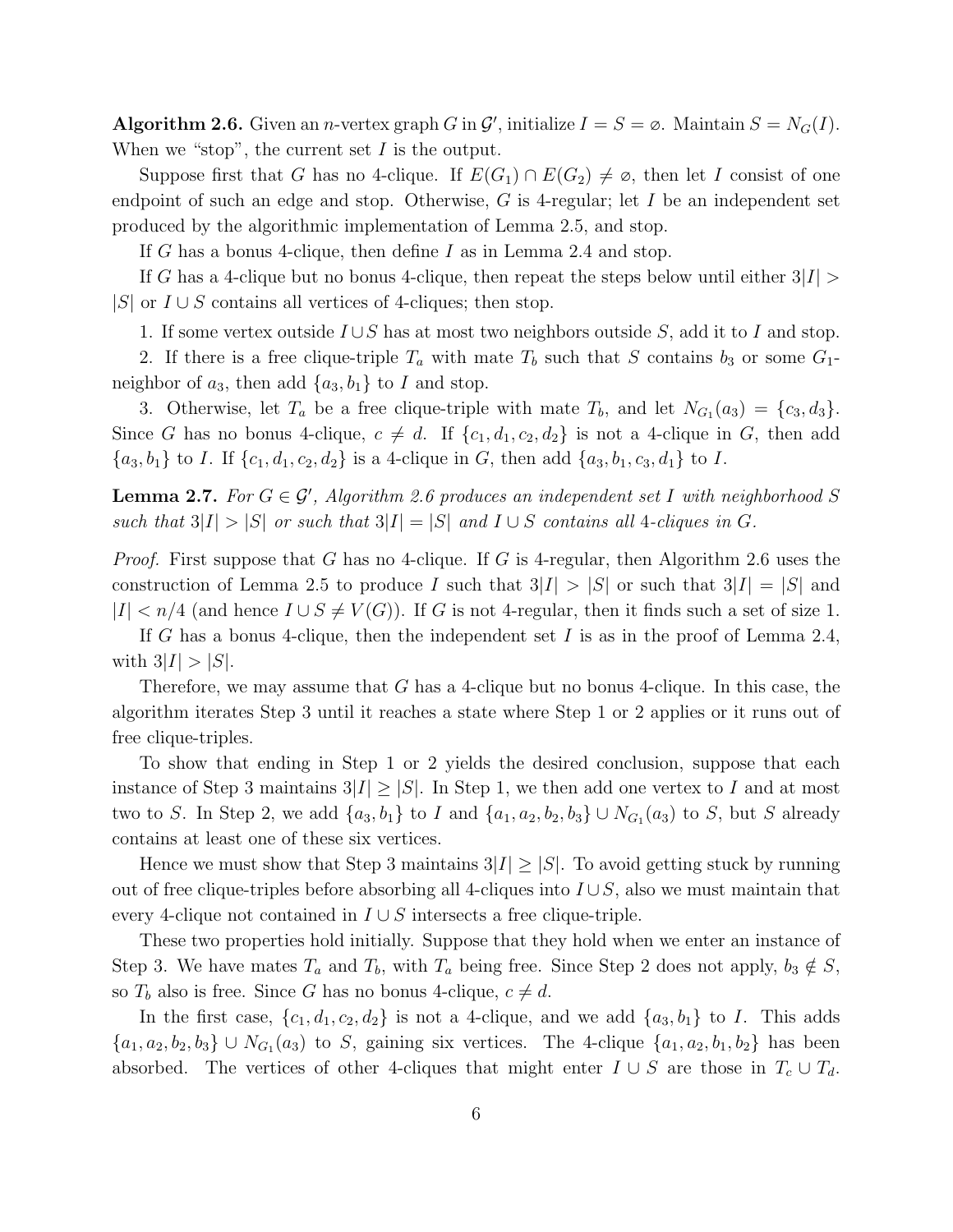Algorithm 2.6. Given an *n*-vertex graph G in  $\mathcal{G}'$ , initialize  $I = S = \emptyset$ . Maintain  $S = N_G(I)$ . When we "stop", the current set  $I$  is the output.

Suppose first that G has no 4-clique. If  $E(G_1) \cap E(G_2) \neq \emptyset$ , then let I consist of one endpoint of such an edge and stop. Otherwise,  $G$  is 4-regular; let  $I$  be an independent set produced by the algorithmic implementation of Lemma 2.5, and stop.

If G has a bonus 4-clique, then define I as in Lemma 2.4 and stop.

If G has a 4-clique but no bonus 4-clique, then repeat the steps below until either  $3|I| >$  $|S|$  or  $I \cup S$  contains all vertices of 4-cliques; then stop.

1. If some vertex outside  $I\cup S$  has at most two neighbors outside S, add it to I and stop.

2. If there is a free clique-triple  $T_a$  with mate  $T_b$  such that S contains  $b_3$  or some  $G_1$ neighbor of  $a_3$ , then add  $\{a_3, b_1\}$  to I and stop.

3. Otherwise, let  $T_a$  be a free clique-triple with mate  $T_b$ , and let  $N_{G_1}(a_3) = \{c_3, d_3\}.$ Since G has no bonus 4-clique,  $c \neq d$ . If  $\{c_1, d_1, c_2, d_2\}$  is not a 4-clique in G, then add  ${a_3, b_1}$  to *I*. If  ${c_1, d_1, c_2, d_2}$  is a 4-clique in *G*, then add  ${a_3, b_1, c_3, d_1}$  to *I*.

**Lemma 2.7.** For  $G \in \mathcal{G}'$ , Algorithm 2.6 produces an independent set I with neighborhood S such that  $3|I| > |S|$  or such that  $3|I| = |S|$  and  $I \cup S$  contains all 4-cliques in G.

*Proof.* First suppose that G has no 4-clique. If G is 4-regular, then Algorithm 2.6 uses the construction of Lemma 2.5 to produce I such that  $3|I| > |S|$  or such that  $3|I| = |S|$  and  $|I| < n/4$  (and hence  $I \cup S \neq V(G)$ ). If G is not 4-regular, then it finds such a set of size 1.

If G has a bonus 4-clique, then the independent set I is as in the proof of Lemma 2.4, with  $3|I| > |S|$ .

Therefore, we may assume that  $G$  has a 4-clique but no bonus 4-clique. In this case, the algorithm iterates Step 3 until it reaches a state where Step 1 or 2 applies or it runs out of free clique-triples.

To show that ending in Step 1 or 2 yields the desired conclusion, suppose that each instance of Step 3 maintains  $3|I| \geq |S|$ . In Step 1, we then add one vertex to I and at most two to S. In Step 2, we add  $\{a_3, b_1\}$  to I and  $\{a_1, a_2, b_2, b_3\} \cup N_{G_1}(a_3)$  to S, but S already contains at least one of these six vertices.

Hence we must show that Step 3 maintains  $3|I| \geq |S|$ . To avoid getting stuck by running out of free clique-triples before absorbing all 4-cliques into  $I \cup S$ , also we must maintain that every 4-clique not contained in  $I \cup S$  intersects a free clique-triple.

These two properties hold initially. Suppose that they hold when we enter an instance of Step 3. We have mates  $T_a$  and  $T_b$ , with  $T_a$  being free. Since Step 2 does not apply,  $b_3 \notin S$ , so  $T_b$  also is free. Since G has no bonus 4-clique,  $c \neq d$ .

In the first case,  $\{c_1, d_1, c_2, d_2\}$  is not a 4-clique, and we add  $\{a_3, b_1\}$  to I. This adds  ${a_1, a_2, b_2, b_3} \cup N_{G_1}(a_3)$  to S, gaining six vertices. The 4-clique  ${a_1, a_2, b_1, b_2}$  has been absorbed. The vertices of other 4-cliques that might enter  $I \cup S$  are those in  $T_c \cup T_d$ .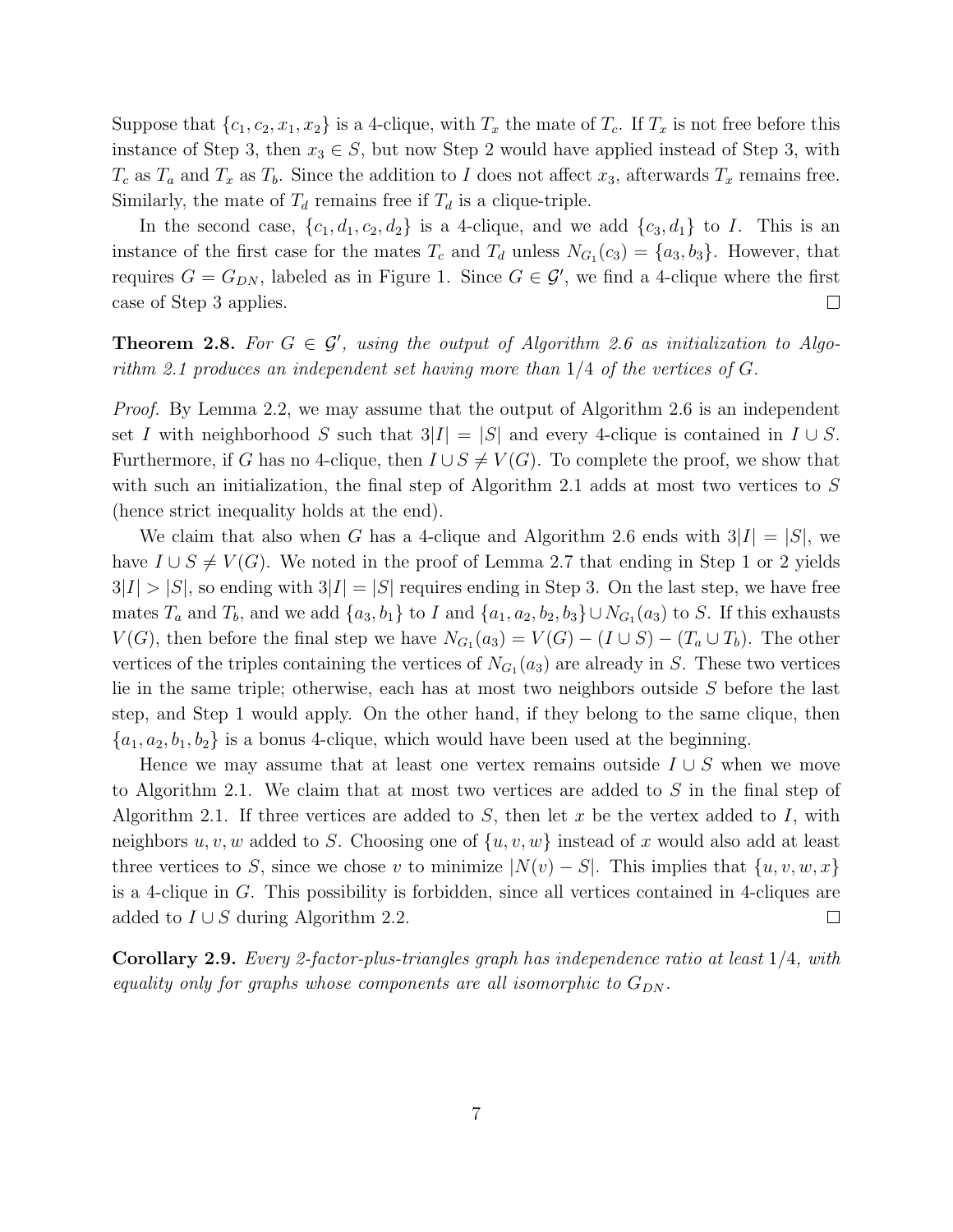Suppose that  $\{c_1, c_2, x_1, x_2\}$  is a 4-clique, with  $T_x$  the mate of  $T_c$ . If  $T_x$  is not free before this instance of Step 3, then  $x_3 \in S$ , but now Step 2 would have applied instead of Step 3, with  $T_c$  as  $T_a$  and  $T_x$  as  $T_b$ . Since the addition to I does not affect  $x_3$ , afterwards  $T_x$  remains free. Similarly, the mate of  $T_d$  remains free if  $T_d$  is a clique-triple.

In the second case,  $\{c_1, d_1, c_2, d_2\}$  is a 4-clique, and we add  $\{c_3, d_1\}$  to I. This is an instance of the first case for the mates  $T_c$  and  $T_d$  unless  $N_{G_1}(c_3) = \{a_3, b_3\}$ . However, that requires  $G = G_{DN}$ , labeled as in Figure 1. Since  $G \in \mathcal{G}'$ , we find a 4-clique where the first case of Step 3 applies.  $\Box$ 

**Theorem 2.8.** For  $G \in \mathcal{G}'$ , using the output of Algorithm 2.6 as initialization to Algorithm 2.1 produces an independent set having more than  $1/4$  of the vertices of G.

*Proof.* By Lemma 2.2, we may assume that the output of Algorithm 2.6 is an independent set I with neighborhood S such that  $3|I| = |S|$  and every 4-clique is contained in  $I \cup S$ . Furthermore, if G has no 4-clique, then  $I \cup S \neq V(G)$ . To complete the proof, we show that with such an initialization, the final step of Algorithm 2.1 adds at most two vertices to S (hence strict inequality holds at the end).

We claim that also when G has a 4-clique and Algorithm 2.6 ends with  $3|I| = |S|$ , we have  $I \cup S \neq V(G)$ . We noted in the proof of Lemma 2.7 that ending in Step 1 or 2 yields  $3|I| > |S|$ , so ending with  $3|I| = |S|$  requires ending in Step 3. On the last step, we have free mates  $T_a$  and  $T_b$ , and we add  $\{a_3, b_1\}$  to I and  $\{a_1, a_2, b_2, b_3\} \cup N_{G_1}(a_3)$  to S. If this exhausts  $V(G)$ , then before the final step we have  $N_{G_1}(a_3) = V(G) - (I \cup S) - (T_a \cup T_b)$ . The other vertices of the triples containing the vertices of  $N_{G_1}(a_3)$  are already in S. These two vertices lie in the same triple; otherwise, each has at most two neighbors outside S before the last step, and Step 1 would apply. On the other hand, if they belong to the same clique, then  $\{a_1, a_2, b_1, b_2\}$  is a bonus 4-clique, which would have been used at the beginning.

Hence we may assume that at least one vertex remains outside  $I \cup S$  when we move to Algorithm 2.1. We claim that at most two vertices are added to S in the final step of Algorithm 2.1. If three vertices are added to  $S$ , then let  $x$  be the vertex added to  $I$ , with neighbors  $u, v, w$  added to S. Choosing one of  $\{u, v, w\}$  instead of x would also add at least three vertices to S, since we chose v to minimize  $|N(v) - S|$ . This implies that  $\{u, v, w, x\}$ is a 4-clique in G. This possibility is forbidden, since all vertices contained in 4-cliques are added to  $I \cup S$  during Algorithm 2.2.  $\Box$ 

Corollary 2.9. Every 2-factor-plus-triangles graph has independence ratio at least 1/4, with equality only for graphs whose components are all isomorphic to  $G_{DN}$ .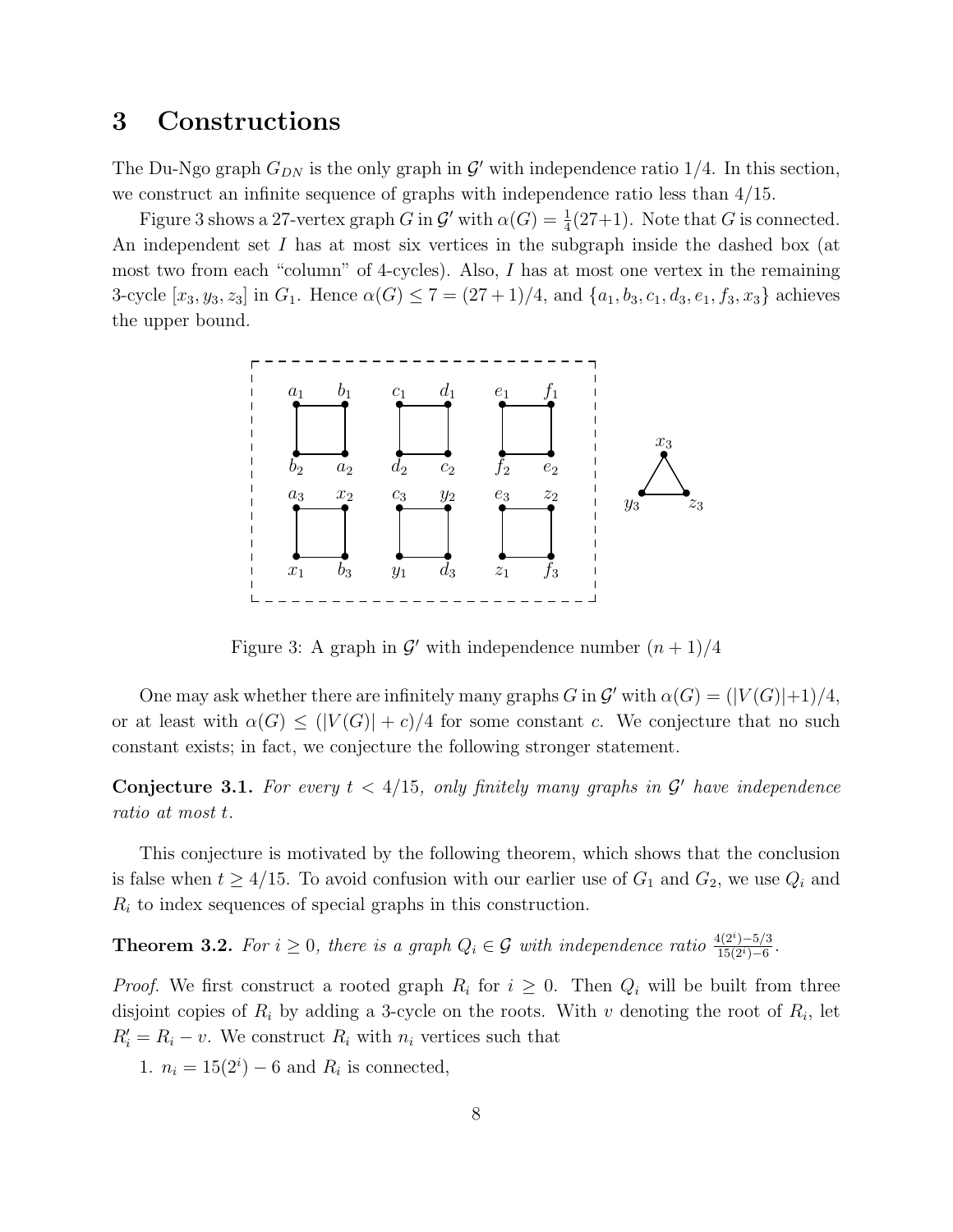## 3 Constructions

The Du-Ngo graph  $G_{DN}$  is the only graph in  $\mathcal{G}'$  with independence ratio 1/4. In this section, we construct an infinite sequence of graphs with independence ratio less than 4/15.

Figure 3 shows a 27-vertex graph G in  $\mathcal{G}'$  with  $\alpha(G) = \frac{1}{4}(27+1)$ . Note that G is connected. An independent set I has at most six vertices in the subgraph inside the dashed box (at most two from each "column" of 4-cycles). Also, I has at most one vertex in the remaining 3-cycle  $[x_3, y_3, z_3]$  in  $G_1$ . Hence  $\alpha(G) \leq 7 = (27 + 1)/4$ , and  $\{a_1, b_3, c_1, d_3, e_1, f_3, x_3\}$  achieves the upper bound.



Figure 3: A graph in  $\mathcal{G}'$  with independence number  $(n+1)/4$ 

One may ask whether there are infinitely many graphs  $G$  in  $\mathcal{G}'$  with  $\alpha(G) = (|V(G)|+1)/4$ , or at least with  $\alpha(G) \leq (|V(G)| + c)/4$  for some constant c. We conjecture that no such constant exists; in fact, we conjecture the following stronger statement.

**Conjecture 3.1.** For every  $t < 4/15$ , only finitely many graphs in  $\mathcal{G}'$  have independence ratio at most t.

This conjecture is motivated by the following theorem, which shows that the conclusion is false when  $t \geq 4/15$ . To avoid confusion with our earlier use of  $G_1$  and  $G_2$ , we use  $Q_i$  and  $R_i$  to index sequences of special graphs in this construction.

**Theorem 3.2.** For  $i \geq 0$ , there is a graph  $Q_i \in \mathcal{G}$  with independence ratio  $\frac{4(2^i)-5/3}{15(2^i)-6}$  $\frac{1(2^{i})-5/3}{15(2^{i})-6}$ .

*Proof.* We first construct a rooted graph  $R_i$  for  $i \geq 0$ . Then  $Q_i$  will be built from three disjoint copies of  $R_i$  by adding a 3-cycle on the roots. With v denoting the root of  $R_i$ , let  $R'_i = R_i - v$ . We construct  $R_i$  with  $n_i$  vertices such that

1.  $n_i = 15(2^i) - 6$  and  $R_i$  is connected,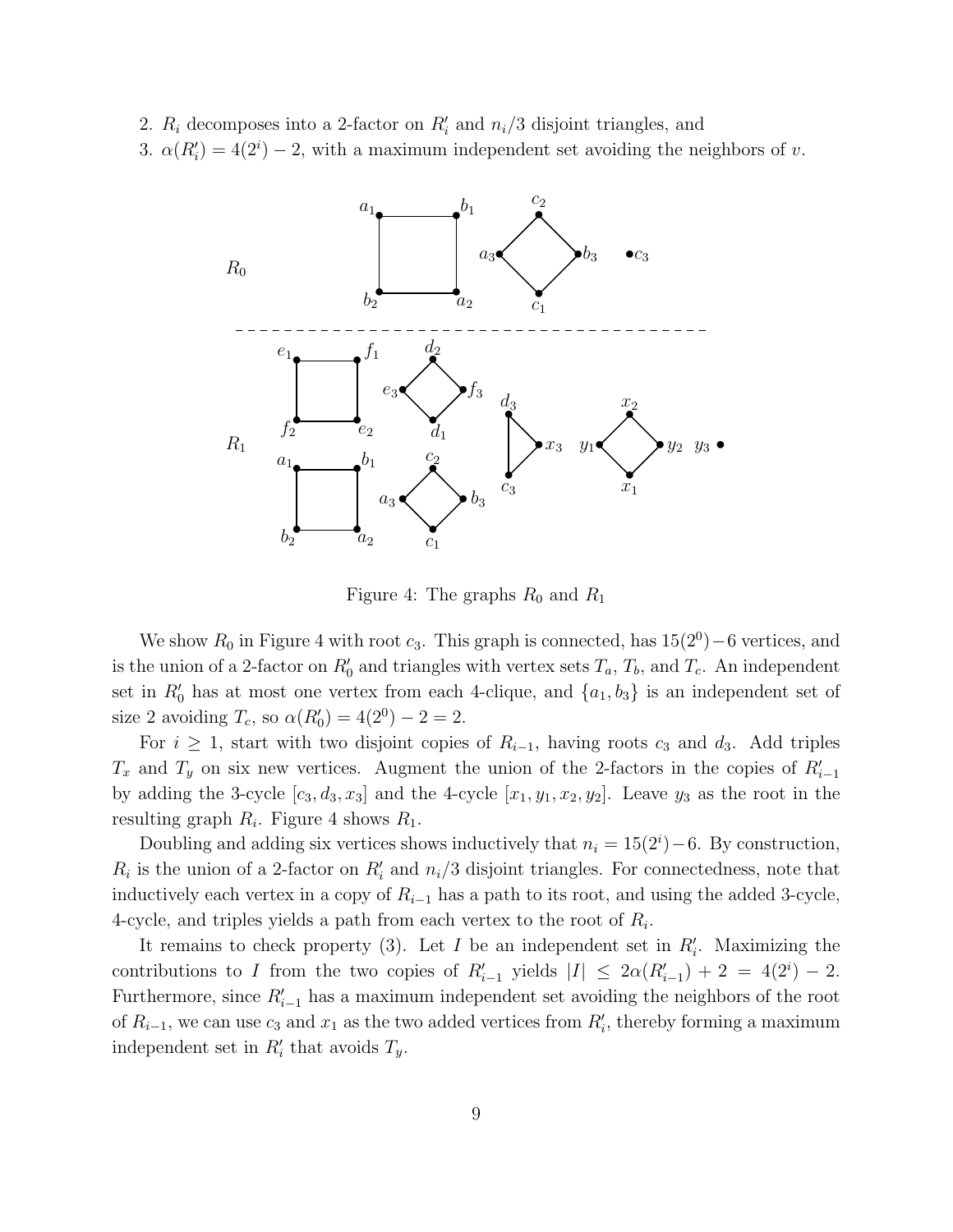2.  $R_i$  decomposes into a 2-factor on  $R'_i$  and  $n_i/3$  disjoint triangles, and

3.  $\alpha(R'_i) = 4(2^i) - 2$ , with a maximum independent set avoiding the neighbors of v.



Figure 4: The graphs  $R_0$  and  $R_1$ 

We show  $R_0$  in Figure 4 with root  $c_3$ . This graph is connected, has  $15(2^0) - 6$  vertices, and is the union of a 2-factor on  $R'_0$  and triangles with vertex sets  $T_a$ ,  $T_b$ , and  $T_c$ . An independent set in  $R'_0$  has at most one vertex from each 4-clique, and  $\{a_1, b_3\}$  is an independent set of size 2 avoiding  $T_c$ , so  $\alpha(R'_0) = 4(2^0) - 2 = 2$ .

For  $i \geq 1$ , start with two disjoint copies of  $R_{i-1}$ , having roots  $c_3$  and  $d_3$ . Add triples  $T_x$  and  $T_y$  on six new vertices. Augment the union of the 2-factors in the copies of  $R'_{i-1}$ by adding the 3-cycle  $[c_3, d_3, x_3]$  and the 4-cycle  $[x_1, y_1, x_2, y_2]$ . Leave  $y_3$  as the root in the resulting graph  $R_i$ . Figure 4 shows  $R_1$ .

Doubling and adding six vertices shows inductively that  $n_i = 15(2^i) - 6$ . By construction,  $R_i$  is the union of a 2-factor on  $R'_i$  and  $n_i/3$  disjoint triangles. For connectedness, note that inductively each vertex in a copy of  $R_{i-1}$  has a path to its root, and using the added 3-cycle, 4-cycle, and triples yields a path from each vertex to the root of  $R_i$ .

It remains to check property (3). Let  $I$  be an independent set in  $R'_{i}$ . Maximizing the contributions to I from the two copies of  $R'_{i-1}$  yields  $|I| \leq 2\alpha(R'_{i-1}) + 2 = 4(2^i) - 2$ . Furthermore, since  $R'_{i-1}$  has a maximum independent set avoiding the neighbors of the root of  $R_{i-1}$ , we can use  $c_3$  and  $x_1$  as the two added vertices from  $R'_i$ , thereby forming a maximum independent set in  $R'_i$  that avoids  $T_y$ .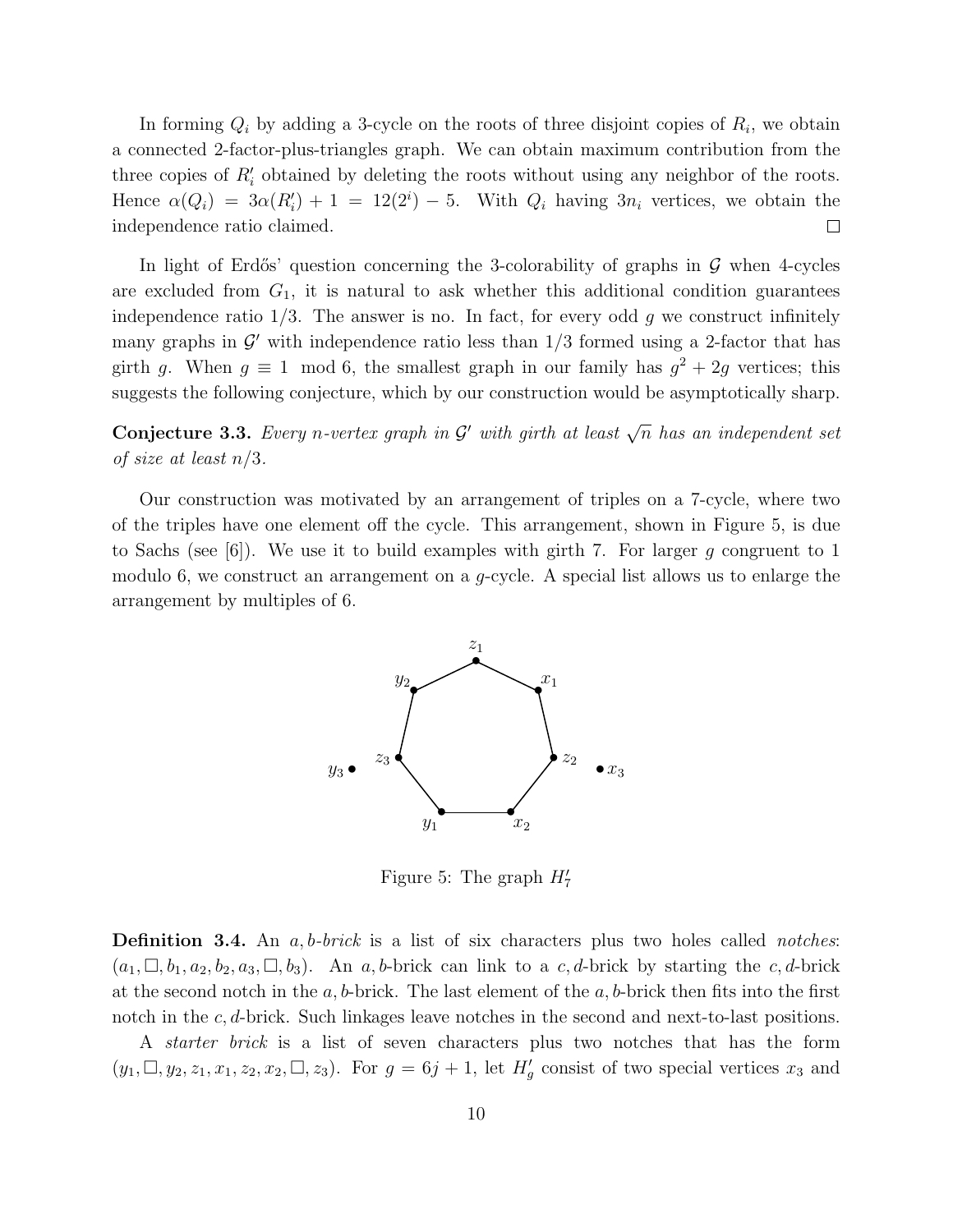In forming  $Q_i$  by adding a 3-cycle on the roots of three disjoint copies of  $R_i$ , we obtain a connected 2-factor-plus-triangles graph. We can obtain maximum contribution from the three copies of  $R'_i$  obtained by deleting the roots without using any neighbor of the roots. Hence  $\alpha(Q_i) = 3\alpha(R'_i) + 1 = 12(2^i) - 5$ . With  $Q_i$  having  $3n_i$  vertices, we obtain the independence ratio claimed.  $\Box$ 

In light of Erdős' question concerning the 3-colorability of graphs in  $\mathcal G$  when 4-cycles are excluded from  $G_1$ , it is natural to ask whether this additional condition guarantees independence ratio  $1/3$ . The answer is no. In fact, for every odd g we construct infinitely many graphs in  $\mathcal{G}'$  with independence ratio less than  $1/3$  formed using a 2-factor that has girth g. When  $g \equiv 1 \mod 6$ , the smallest graph in our family has  $g^2 + 2g$  vertices; this suggests the following conjecture, which by our construction would be asymptotically sharp.

Conjecture 3.3. Every n-vertex graph in  $\mathcal{G}'$  with girth at least  $\sqrt{n}$  has an independent set of size at least n/3.

Our construction was motivated by an arrangement of triples on a 7-cycle, where two of the triples have one element off the cycle. This arrangement, shown in Figure 5, is due to Sachs (see  $[6]$ ). We use it to build examples with girth 7. For larger g congruent to 1 modulo 6, we construct an arrangement on a  $q$ -cycle. A special list allows us to enlarge the arrangement by multiples of 6.



Figure 5: The graph  $H'_7$ 

**Definition 3.4.** An  $a, b\text{-}brick$  is a list of six characters plus two holes called *notches*:  $(a_1, \Box, b_1, a_2, b_2, a_3, \Box, b_3)$ . An a, b-brick can link to a c, d-brick by starting the c, d-brick at the second notch in the  $a, b$ -brick. The last element of the  $a, b$ -brick then fits into the first notch in the c, d-brick. Such linkages leave notches in the second and next-to-last positions.

A starter brick is a list of seven characters plus two notches that has the form  $(y_1, \Box, y_2, z_1, x_1, z_2, x_2, \Box, z_3)$ . For  $g = 6j + 1$ , let  $H'_g$  consist of two special vertices  $x_3$  and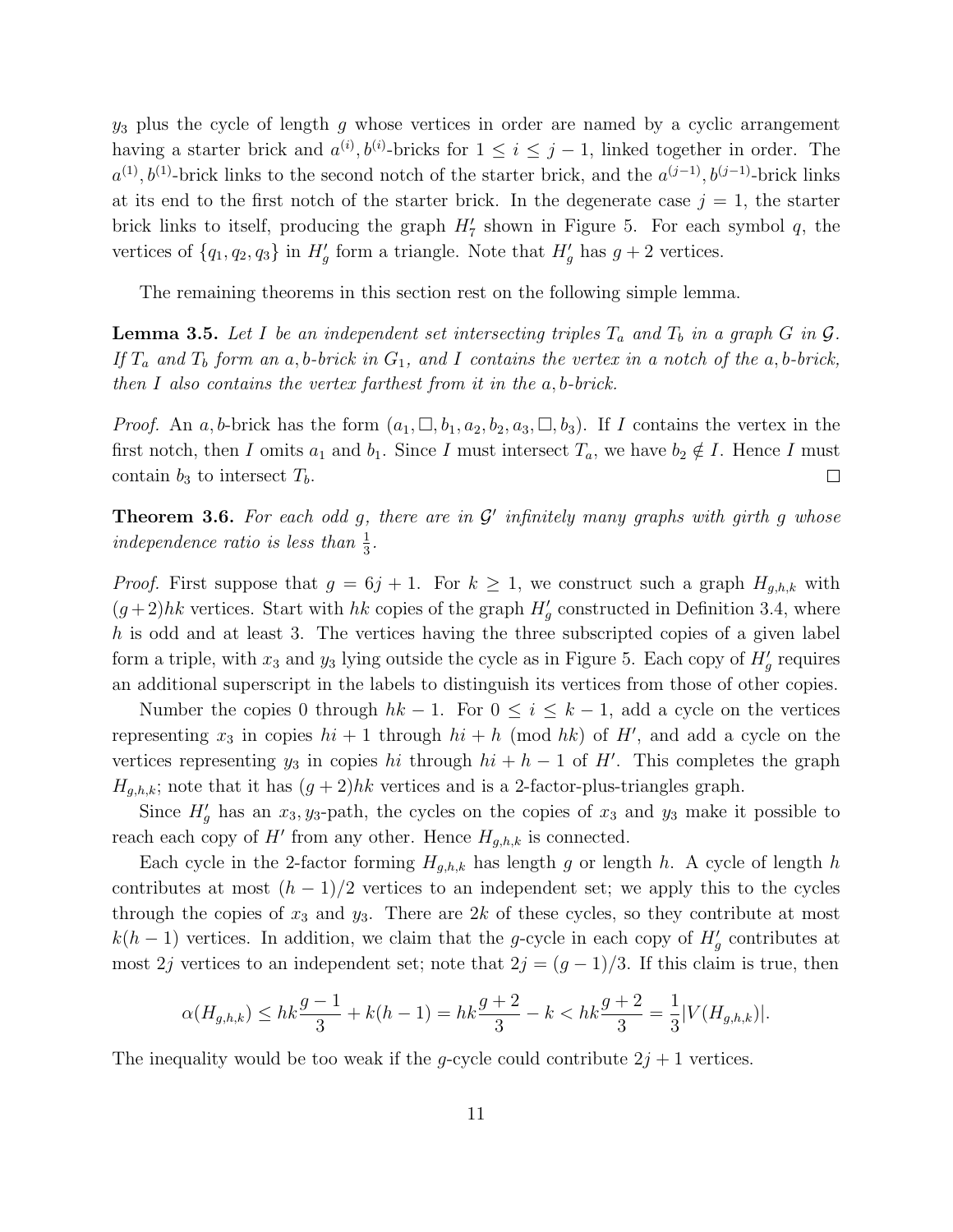$y_3$  plus the cycle of length g whose vertices in order are named by a cyclic arrangement having a starter brick and  $a^{(i)}$ ,  $b^{(i)}$ -bricks for  $1 \leq i \leq j-1$ , linked together in order. The  $a^{(1)}, b^{(1)}$ -brick links to the second notch of the starter brick, and the  $a^{(j-1)}, b^{(j-1)}$ -brick links at its end to the first notch of the starter brick. In the degenerate case  $j = 1$ , the starter brick links to itself, producing the graph  $H'_{7}$  shown in Figure 5. For each symbol q, the vertices of  $\{q_1, q_2, q_3\}$  in  $H'_g$  form a triangle. Note that  $H'_g$  has  $g + 2$  vertices.

The remaining theorems in this section rest on the following simple lemma.

**Lemma 3.5.** Let I be an independent set intersecting triples  $T_a$  and  $T_b$  in a graph G in  $\mathcal{G}$ . If  $T_a$  and  $T_b$  form an a, b-brick in  $G_1$ , and I contains the vertex in a notch of the a, b-brick, then I also contains the vertex farthest from it in the a, b-brick.

*Proof.* An a, b-brick has the form  $(a_1, \Box, b_1, a_2, b_2, a_3, \Box, b_3)$ . If I contains the vertex in the first notch, then I omits  $a_1$  and  $b_1$ . Since I must intersect  $T_a$ , we have  $b_2 \notin I$ . Hence I must contain  $b_3$  to intersect  $T_b$ .  $\Box$ 

**Theorem 3.6.** For each odd g, there are in  $\mathcal{G}'$  infinitely many graphs with girth g whose independence ratio is less than  $\frac{1}{3}$ .

*Proof.* First suppose that  $g = 6j + 1$ . For  $k \ge 1$ , we construct such a graph  $H_{g,h,k}$  with  $(g+2)hk$  vertices. Start with hk copies of the graph  $H'_{g}$  constructed in Definition 3.4, where h is odd and at least 3. The vertices having the three subscripted copies of a given label form a triple, with  $x_3$  and  $y_3$  lying outside the cycle as in Figure 5. Each copy of  $H'_g$  requires an additional superscript in the labels to distinguish its vertices from those of other copies.

Number the copies 0 through  $hk - 1$ . For  $0 \le i \le k - 1$ , add a cycle on the vertices representing  $x_3$  in copies  $hi + 1$  through  $hi + h$  (mod  $hk$ ) of H', and add a cycle on the vertices representing  $y_3$  in copies hi through  $hi + h - 1$  of H'. This completes the graph  $H_{g,h,k}$ ; note that it has  $(g+2)hk$  vertices and is a 2-factor-plus-triangles graph.

Since  $H'_g$  has an  $x_3, y_3$ -path, the cycles on the copies of  $x_3$  and  $y_3$  make it possible to reach each copy of  $H'$  from any other. Hence  $H_{g,h,k}$  is connected.

Each cycle in the 2-factor forming  $H_{g,h,k}$  has length g or length h. A cycle of length h contributes at most  $(h-1)/2$  vertices to an independent set; we apply this to the cycles through the copies of  $x_3$  and  $y_3$ . There are 2k of these cycles, so they contribute at most  $k(h-1)$  vertices. In addition, we claim that the g-cycle in each copy of  $H'_g$  contributes at most 2j vertices to an independent set; note that  $2j = (g-1)/3$ . If this claim is true, then

$$
\alpha(H_{g,h,k}) \le hk \frac{g-1}{3} + k(h-1) = hk \frac{g+2}{3} - k < hk \frac{g+2}{3} = \frac{1}{3}|V(H_{g,h,k})|.
$$

The inequality would be too weak if the g-cycle could contribute  $2j + 1$  vertices.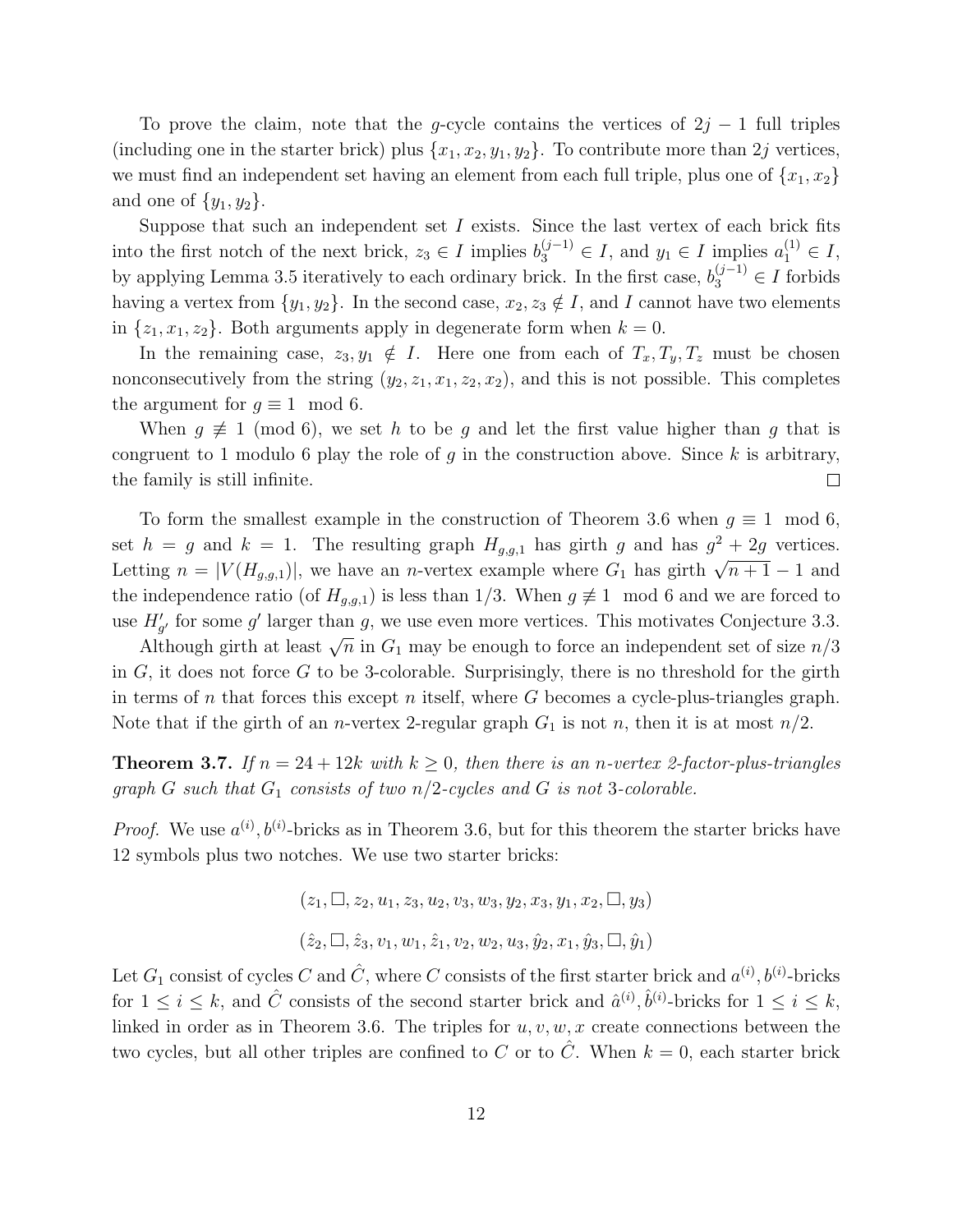To prove the claim, note that the g-cycle contains the vertices of  $2j - 1$  full triples (including one in the starter brick) plus  $\{x_1, x_2, y_1, y_2\}$ . To contribute more than 2j vertices, we must find an independent set having an element from each full triple, plus one of  $\{x_1, x_2\}$ and one of  $\{y_1, y_2\}$ .

Suppose that such an independent set  $I$  exists. Since the last vertex of each brick fits into the first notch of the next brick,  $z_3 \in I$  implies  $b_3^{(j-1)} \in I$ , and  $y_1 \in I$  implies  $a_1^{(1)} \in I$ , by applying Lemma 3.5 iteratively to each ordinary brick. In the first case,  $b_3^{(j-1)} \in I$  forbids having a vertex from  $\{y_1, y_2\}$ . In the second case,  $x_2, z_3 \notin I$ , and I cannot have two elements in  $\{z_1, x_1, z_2\}$ . Both arguments apply in degenerate form when  $k = 0$ .

In the remaining case,  $z_3, y_1 \notin I$ . Here one from each of  $T_x, T_y, T_z$  must be chosen nonconsecutively from the string  $(y_2, z_1, x_1, z_2, x_2)$ , and this is not possible. This completes the argument for  $q \equiv 1 \mod 6$ .

When  $g \not\equiv 1 \pmod{6}$ , we set h to be g and let the first value higher than g that is congruent to 1 modulo 6 play the role of  $g$  in the construction above. Since  $k$  is arbitrary, the family is still infinite.  $\Box$ 

To form the smallest example in the construction of Theorem 3.6 when  $q \equiv 1 \mod 6$ , set  $h = g$  and  $k = 1$ . The resulting graph  $H_{g,g,1}$  has girth g and has  $g^2 + 2g$  vertices. Letting  $n = |V(H_{g,g,1})|$ , we have an *n*-vertex example where  $G_1$  has girth  $\sqrt{n+1} - 1$  and the independence ratio (of  $H_{g,g,1}$ ) is less than 1/3. When  $g \neq 1 \mod 6$  and we are forced to use  $H'_{g'}$  for some g' larger than g, we use even more vertices. This motivates Conjecture 3.3.

Although girth at least  $\sqrt{n}$  in  $G_1$  may be enough to force an independent set of size  $n/3$ in  $G$ , it does not force  $G$  to be 3-colorable. Surprisingly, there is no threshold for the girth in terms of n that forces this except n itself, where  $G$  becomes a cycle-plus-triangles graph. Note that if the girth of an *n*-vertex 2-regular graph  $G_1$  is not *n*, then it is at most  $n/2$ .

**Theorem 3.7.** If  $n = 24 + 12k$  with  $k \geq 0$ , then there is an n-vertex 2-factor-plus-triangles graph G such that  $G_1$  consists of two n/2-cycles and G is not 3-colorable.

*Proof.* We use  $a^{(i)}$ ,  $b^{(i)}$ -bricks as in Theorem 3.6, but for this theorem the starter bricks have 12 symbols plus two notches. We use two starter bricks:

$$
(z_1, \Box, z_2, u_1, z_3, u_2, v_3, w_3, y_2, x_3, y_1, x_2, \Box, y_3)
$$
  

$$
(\hat{z}_2, \Box, \hat{z}_3, v_1, w_1, \hat{z}_1, v_2, w_2, u_3, \hat{y}_2, x_1, \hat{y}_3, \Box, \hat{y}_1)
$$

Let  $G_1$  consist of cycles C and  $\hat{C}$ , where C consists of the first starter brick and  $a^{(i)}$ ,  $b^{(i)}$ -bricks for  $1 \leq i \leq k$ , and  $\hat{C}$  consists of the second starter brick and  $\hat{a}^{(i)}$ ,  $\hat{b}^{(i)}$ -bricks for  $1 \leq i \leq k$ , linked in order as in Theorem 3.6. The triples for  $u, v, w, x$  create connections between the two cycles, but all other triples are confined to C or to  $\hat{C}$ . When  $k = 0$ , each starter brick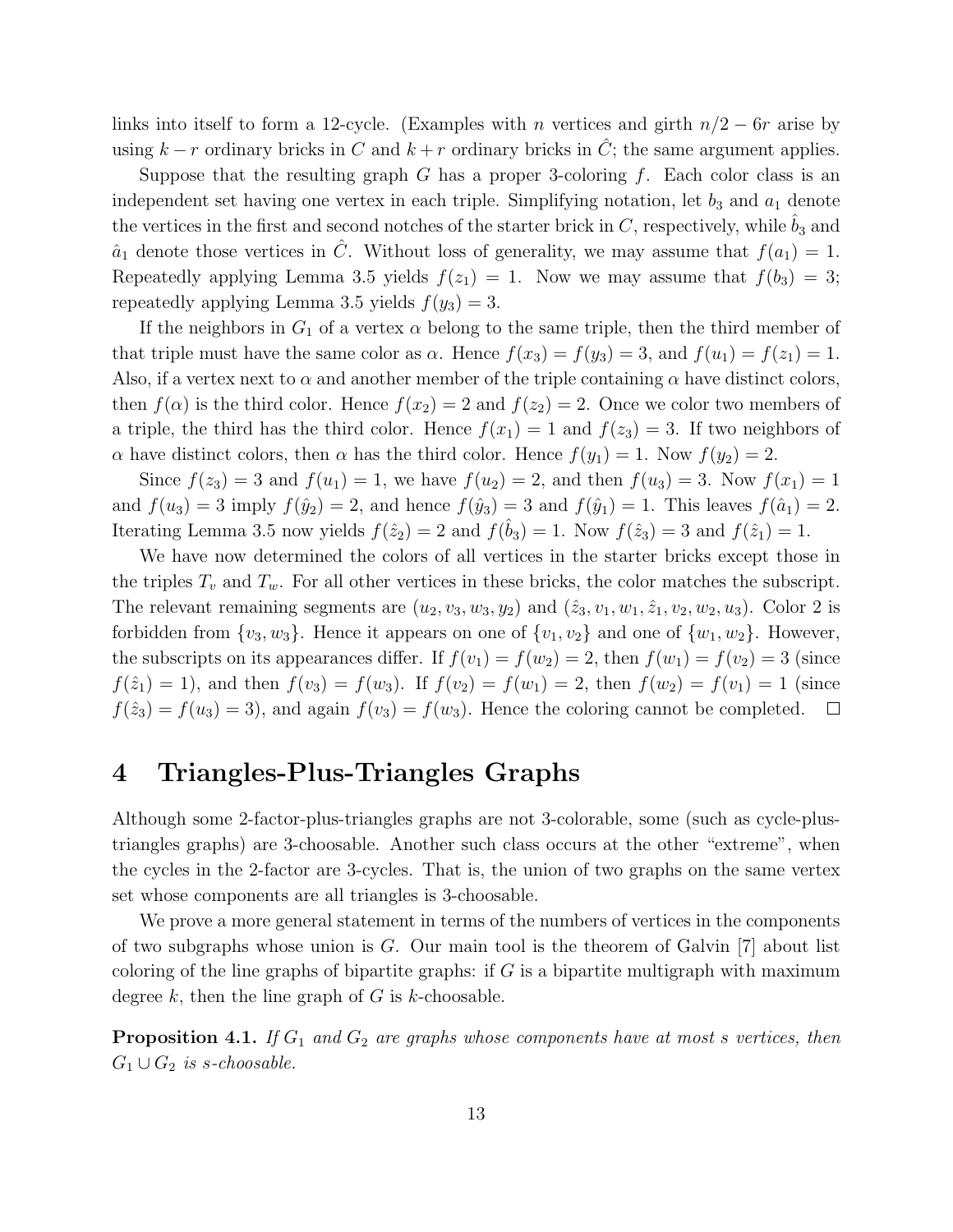links into itself to form a 12-cycle. (Examples with n vertices and girth  $n/2 - 6r$  arise by using  $k - r$  ordinary bricks in C and  $k + r$  ordinary bricks in  $\hat{C}$ ; the same argument applies.

Suppose that the resulting graph G has a proper 3-coloring  $f$ . Each color class is an independent set having one vertex in each triple. Simplifying notation, let  $b_3$  and  $a_1$  denote the vertices in the first and second notches of the starter brick in  $C$ , respectively, while  $b_3$  and  $\hat{a}_1$  denote those vertices in C. Without loss of generality, we may assume that  $f(a_1) = 1$ . Repeatedly applying Lemma 3.5 yields  $f(z_1) = 1$ . Now we may assume that  $f(b_3) = 3$ ; repeatedly applying Lemma 3.5 yields  $f(y_3) = 3$ .

If the neighbors in  $G_1$  of a vertex  $\alpha$  belong to the same triple, then the third member of that triple must have the same color as  $\alpha$ . Hence  $f(x_3) = f(y_3) = 3$ , and  $f(u_1) = f(z_1) = 1$ . Also, if a vertex next to  $\alpha$  and another member of the triple containing  $\alpha$  have distinct colors, then  $f(\alpha)$  is the third color. Hence  $f(x_2) = 2$  and  $f(z_2) = 2$ . Once we color two members of a triple, the third has the third color. Hence  $f(x_1) = 1$  and  $f(z_3) = 3$ . If two neighbors of  $\alpha$  have distinct colors, then  $\alpha$  has the third color. Hence  $f(y_1) = 1$ . Now  $f(y_2) = 2$ .

Since  $f(z_3) = 3$  and  $f(u_1) = 1$ , we have  $f(u_2) = 2$ , and then  $f(u_3) = 3$ . Now  $f(x_1) = 1$ and  $f(u_3) = 3$  imply  $f(\hat{y}_2) = 2$ , and hence  $f(\hat{y}_3) = 3$  and  $f(\hat{y}_1) = 1$ . This leaves  $f(\hat{a}_1) = 2$ . Iterating Lemma 3.5 now yields  $f(\hat{z}_2) = 2$  and  $f(\hat{b}_3) = 1$ . Now  $f(\hat{z}_3) = 3$  and  $f(\hat{z}_1) = 1$ .

We have now determined the colors of all vertices in the starter bricks except those in the triples  $T_v$  and  $T_w$ . For all other vertices in these bricks, the color matches the subscript. The relevant remaining segments are  $(u_2, v_3, w_3, y_2)$  and  $(\hat{z}_3, v_1, w_1, \hat{z}_1, v_2, w_2, u_3)$ . Color 2 is forbidden from  $\{v_3, w_3\}$ . Hence it appears on one of  $\{v_1, v_2\}$  and one of  $\{w_1, w_2\}$ . However, the subscripts on its appearances differ. If  $f(v_1) = f(w_2) = 2$ , then  $f(w_1) = f(v_2) = 3$  (since  $f(\hat{z}_1) = 1$ , and then  $f(v_3) = f(w_3)$ . If  $f(v_2) = f(w_1) = 2$ , then  $f(w_2) = f(v_1) = 1$  (since  $f(\hat{z}_3) = f(u_3) = 3$ , and again  $f(v_3) = f(w_3)$ . Hence the coloring cannot be completed.  $\Box$ 

# 4 Triangles-Plus-Triangles Graphs

Although some 2-factor-plus-triangles graphs are not 3-colorable, some (such as cycle-plustriangles graphs) are 3-choosable. Another such class occurs at the other "extreme", when the cycles in the 2-factor are 3-cycles. That is, the union of two graphs on the same vertex set whose components are all triangles is 3-choosable.

We prove a more general statement in terms of the numbers of vertices in the components of two subgraphs whose union is  $G$ . Our main tool is the theorem of Galvin  $[7]$  about list coloring of the line graphs of bipartite graphs: if  $G$  is a bipartite multigraph with maximum degree k, then the line graph of  $G$  is k-choosable.

**Proposition 4.1.** If  $G_1$  and  $G_2$  are graphs whose components have at most s vertices, then  $G_1 \cup G_2$  is s-choosable.